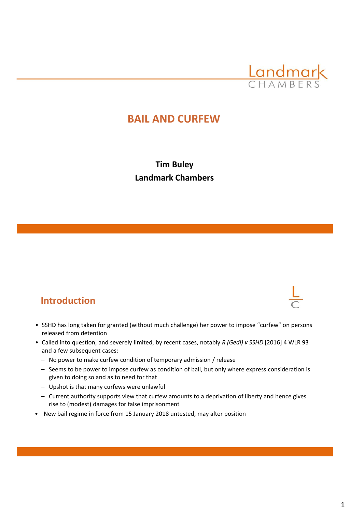

## **BAIL AND CURFEW**

**Tim Buley Landmark Chambers** 

#### **Introduction**

- SSHD has long taken for granted (without much challenge) her power to impose "curfew" on persons released from detention
- Called into question, and severely limited, by recent cases, notably *R (Gedi) v SSHD* [2016] 4 WLR 93 and a few subsequent cases:
	- No power to make curfew condition of temporary admission / release
	- Seems to be power to impose curfew as condition of bail, but only where express consideration is given to doing so and as to need for that
	- Upshot is that many curfews were unlawful
	- Current authority supports view that curfew amounts to a deprivation of liberty and hence gives rise to (modest) damages for false imprisonment
- New bail regime in force from 15 January 2018 untested, may alter position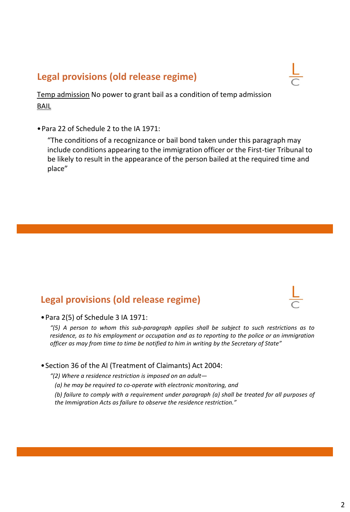## **Legal provisions (old release regime)**

Temp admission No power to grant bail as a condition of temp admission BAIL

•Para 22 of Schedule 2 to the IA 1971:

"The conditions of a recognizance or bail bond taken under this paragraph may include conditions appearing to the immigration officer or the First-tier Tribunal to be likely to result in the appearance of the person bailed at the required time and place"

#### **Legal provisions (old release regime)**



•Para 2(5) of Schedule 3 IA 1971:

*"(5) A person to whom this sub-paragraph applies shall be subject to such restrictions as to residence, as to his employment or occupation and as to reporting to the police or an immigration officer as may from time to time be notified to him in writing by the Secretary of State"*

•Section 36 of the AI (Treatment of Claimants) Act 2004:

*"(2) Where a residence restriction is imposed on an adult—*

*(a) he may be required to co-operate with electronic monitoring, and*

*(b) failure to comply with a requirement under paragraph (a) shall be treated for all purposes of the Immigration Acts as failure to observe the residence restriction."*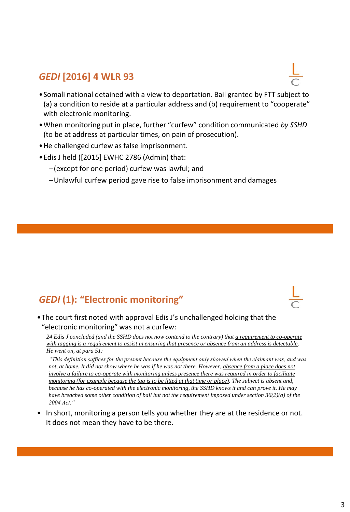## *GEDI* **[2016] 4 WLR 93**

- •Somali national detained with a view to deportation. Bail granted by FTT subject to (a) a condition to reside at a particular address and (b) requirement to "cooperate" with electronic monitoring.
- •When monitoring put in place, further "curfew" condition communicated *by SSHD*  (to be at address at particular times, on pain of prosecution).
- •He challenged curfew as false imprisonment.
- •Edis J held ([2015] EWHC 2786 (Admin) that:
	- –(except for one period) curfew was lawful; and
	- –Unlawful curfew period gave rise to false imprisonment and damages

# *GEDI* **(1): "Electronic monitoring"**



#### •The court first noted with approval Edis J's unchallenged holding that the "electronic monitoring" was not a curfew:

*24 Edis J concluded (and the SSHD does not now contend to the contrary) that a requirement to co-operate with tagging is a requirement to assist in ensuring that presence or absence from an address is detectable. He went on, at para 51:* 

*"This definition suffices for the present because the equipment only showed when the claimant was, and was not, at home. It did not show where he was if he was not there. However, absence from a place does not involve a failure to co-operate with monitoring unless presence there was required in order to facilitate monitoring (for example because the tag is to be fitted at that time or place). The subject is absent and, because he has co-operated with the electronic monitoring, the SSHD knows it and can prove it. He may have breached some other condition of bail but not the requirement imposed under section 36(2)(a) of the 2004 Act."*

• In short, monitoring a person tells you whether they are at the residence or not. It does not mean they have to be there.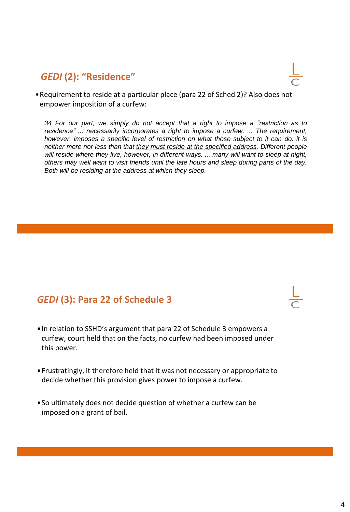## *GEDI* **(2): "Residence"**



•Requirement to reside at a particular place (para 22 of Sched 2)? Also does not empower imposition of a curfew:

*34 For our part, we simply do not accept that a right to impose a "restriction as to residence" ... necessarily incorporates a right to impose a curfew. ... The requirement, however, imposes a specific level of restriction on what those subject to it can do: it is neither more nor less than that they must reside at the specified address. Different people will reside where they live, however, in different ways. ... many will want to sleep at night, others may well want to visit friends until the late hours and sleep during parts of the day. Both will be residing at the address at which they sleep.*

## *GEDI* **(3): Para 22 of Schedule 3**

- •In relation to SSHD's argument that para 22 of Schedule 3 empowers a curfew, court held that on the facts, no curfew had been imposed under this power.
- •Frustratingly, it therefore held that it was not necessary or appropriate to decide whether this provision gives power to impose a curfew.
- •So ultimately does not decide question of whether a curfew can be imposed on a grant of bail.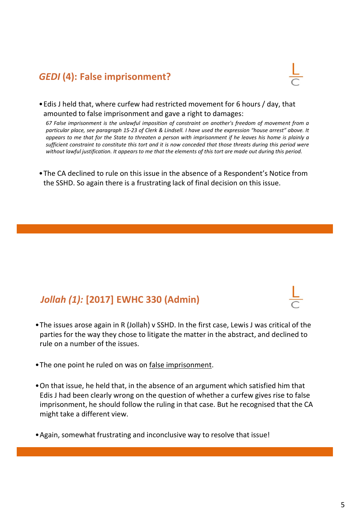# *GEDI* **(4): False imprisonment?**



•Edis J held that, where curfew had restricted movement for 6 hours / day, that amounted to false imprisonment and gave a right to damages:

*67 False imprisonment is the unlawful imposition of constraint on another's freedom of movement from a* particular place, see paragraph 15-23 of Clerk & Lindsell. I have used the expression "house arrest" above. It appears to me that for the State to threaten a person with imprisonment if he leaves his home is plainly a sufficient constraint to constitute this tort and it is now conceded that those threats during this period were without lawful justification. It appears to me that the elements of this tort are made out during this period.

•The CA declined to rule on this issue in the absence of a Respondent's Notice from the SSHD. So again there is a frustrating lack of final decision on this issue.

# *Jollah (1):* **[2017] EWHC 330 (Admin)**

- •The issues arose again in R (Jollah) v SSHD. In the first case, Lewis J was critical of the parties for the way they chose to litigate the matter in the abstract, and declined to rule on a number of the issues.
- The one point he ruled on was on false imprisonment.
- •On that issue, he held that, in the absence of an argument which satisfied him that Edis J had been clearly wrong on the question of whether a curfew gives rise to false imprisonment, he should follow the ruling in that case. But he recognised that the CA might take a different view.
- •Again, somewhat frustrating and inconclusive way to resolve that issue!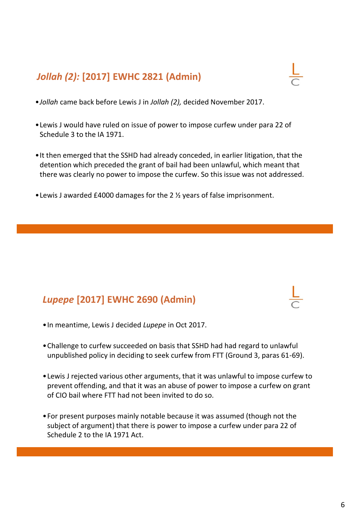# *Jollah (2):* **[2017] EWHC 2821 (Admin)**

- •*Jollah* came back before Lewis J in *Jollah (2),* decided November 2017.
- •Lewis J would have ruled on issue of power to impose curfew under para 22 of Schedule 3 to the IA 1971.
- •It then emerged that the SSHD had already conceded, in earlier litigation, that the detention which preceded the grant of bail had been unlawful, which meant that there was clearly no power to impose the curfew. So this issue was not addressed.
- •Lewis J awarded £4000 damages for the 2 ½ years of false imprisonment.

# *Lupepe* **[2017] EWHC 2690 (Admin)**

- •In meantime, Lewis J decided *Lupepe* in Oct 2017.
- •Challenge to curfew succeeded on basis that SSHD had had regard to unlawful unpublished policy in deciding to seek curfew from FTT (Ground 3, paras 61-69).
- •Lewis J rejected various other arguments, that it was unlawful to impose curfew to prevent offending, and that it was an abuse of power to impose a curfew on grant of CIO bail where FTT had not been invited to do so.
- •For present purposes mainly notable because it was assumed (though not the subject of argument) that there is power to impose a curfew under para 22 of Schedule 2 to the IA 1971 Act.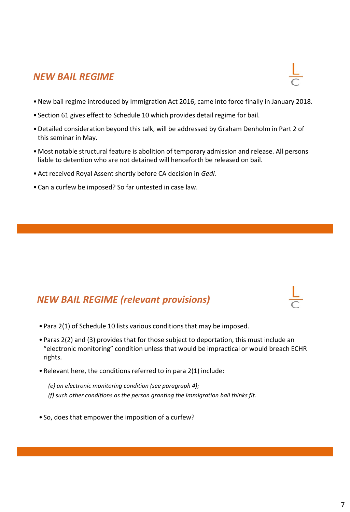#### *NEW BAIL REGIME*

- •New bail regime introduced by Immigration Act 2016, came into force finally in January 2018.
- Section 61 gives effect to Schedule 10 which provides detail regime for bail.
- •Detailed consideration beyond this talk, will be addressed by Graham Denholm in Part 2 of this seminar in May.
- •Most notable structural feature is abolition of temporary admission and release. All persons liable to detention who are not detained will henceforth be released on bail.
- •Act received Royal Assent shortly before CA decision in *Gedi.*
- •Can a curfew be imposed? So far untested in case law.

#### *NEW BAIL REGIME (relevant provisions)*

- Para 2(1) of Schedule 10 lists various conditions that may be imposed.
- Paras 2(2) and (3) provides that for those subject to deportation, this must include an "electronic monitoring" condition unless that would be impractical or would breach ECHR rights.
- •Relevant here, the conditions referred to in para 2(1) include:
	- *(e) an electronic monitoring condition (see paragraph 4); (f) such other conditions as the person granting the immigration bail thinks fit.*
- So, does that empower the imposition of a curfew?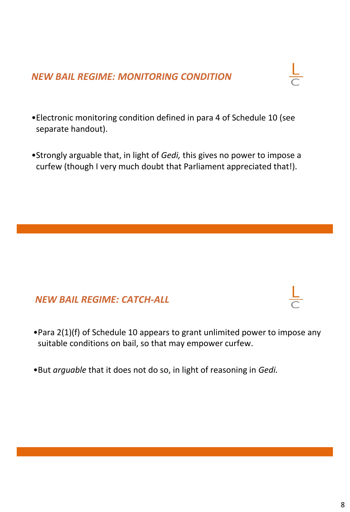## *NEW BAIL REGIME: MONITORING CONDITION*

- •Electronic monitoring condition defined in para 4 of Schedule 10 (see separate handout).
- •Strongly arguable that, in light of *Gedi,* this gives no power to impose a curfew (though I very much doubt that Parliament appreciated that!).

#### *NEW BAIL REGIME: CATCH-ALL*

- •Para 2(1)(f) of Schedule 10 appears to grant unlimited power to impose any suitable conditions on bail, so that may empower curfew.
- •But *arguable* that it does not do so, in light of reasoning in *Gedi.*